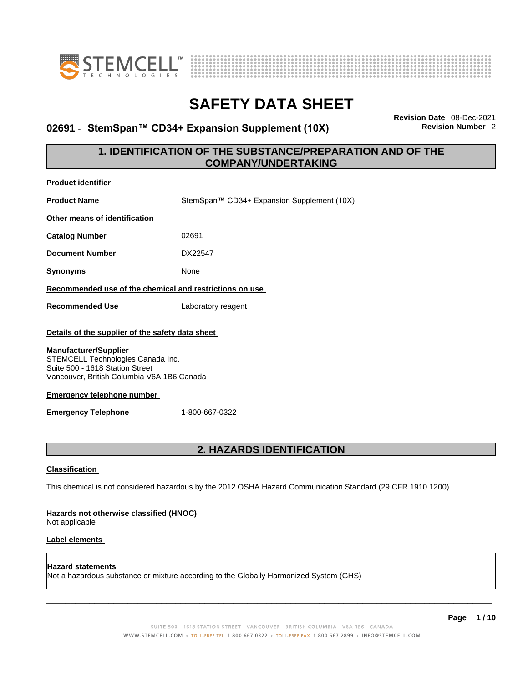



# **02691 · StemSpan™ CD34+ Expansion Supplement (10X)**

**Revision Date** 08-Dec-2021

# **1. IDENTIFICATION OF THE SUBSTANCE/PREPARATION AND OF THE COMPANY/UNDERTAKING**

| <b>Product identifier</b>                                                                                                                                                                                                                                                 |                                                                                                             |
|---------------------------------------------------------------------------------------------------------------------------------------------------------------------------------------------------------------------------------------------------------------------------|-------------------------------------------------------------------------------------------------------------|
| <b>Product Name</b>                                                                                                                                                                                                                                                       | StemSpan™ CD34+ Expansion Supplement (10X)                                                                  |
| Other means of identification                                                                                                                                                                                                                                             |                                                                                                             |
| <b>Catalog Number</b>                                                                                                                                                                                                                                                     | 02691                                                                                                       |
| <b>Document Number</b>                                                                                                                                                                                                                                                    | DX22547                                                                                                     |
| <b>Synonyms</b>                                                                                                                                                                                                                                                           | None                                                                                                        |
|                                                                                                                                                                                                                                                                           | Recommended use of the chemical and restrictions on use                                                     |
| <b>Recommended Use</b>                                                                                                                                                                                                                                                    | Laboratory reagent                                                                                          |
| Details of the supplier of the safety data sheet<br><b>Manufacturer/Supplier</b><br>STEMCELL Technologies Canada Inc.<br>Suite 500 - 1618 Station Street<br>Vancouver, British Columbia V6A 1B6 Canada<br><b>Emergency telephone number</b><br><b>Emergency Telephone</b> | 1-800-667-0322                                                                                              |
|                                                                                                                                                                                                                                                                           | 2. HAZARDS IDENTIFICATION                                                                                   |
| <b>Classification</b>                                                                                                                                                                                                                                                     |                                                                                                             |
|                                                                                                                                                                                                                                                                           | This chemical is not considered hazardous by the 2012 OSHA Hazard Communication Standard (29 CFR 1910.1200) |
| Hazards not otherwise classified (HNOC)<br>Not applicable                                                                                                                                                                                                                 |                                                                                                             |
| <b>Label elements</b>                                                                                                                                                                                                                                                     |                                                                                                             |
| Hazard statements                                                                                                                                                                                                                                                         | Not a hazardous substance or mixture according to the Globally Harmonized System (GHS)                      |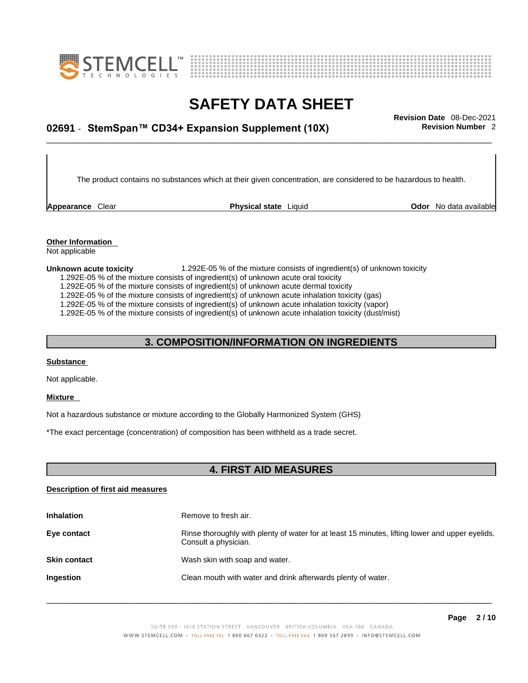



# \_\_\_\_\_\_\_\_\_\_\_\_\_\_\_\_\_\_\_\_\_\_\_\_\_\_\_\_\_\_\_\_\_\_\_\_\_\_\_\_\_\_\_\_\_\_\_\_\_\_\_\_\_\_\_\_\_\_\_\_\_\_\_\_\_\_\_\_\_\_\_\_\_\_\_\_\_\_\_\_\_\_\_\_\_\_\_\_\_\_\_\_\_ **Revision Date** 08-Dec-2021 **02691** - **StemSpan™ CD34+ Expansion Supplement (10X) Revision Number** 2

The product contains no substances which at their given concentration, are considered to be hazardous to health.

**Appearance** Clear **Physical state** Liquid

**Odor** No data available

**Other Information**  Not applicable

#### **Unknown acute toxicity** 1.292E-05 % of the mixture consists of ingredient(s) of unknown toxicity

1.292E-05 % of the mixture consists of ingredient(s) of unknown acute oral toxicity

1.292E-05 % of the mixture consists of ingredient(s) of unknown acute dermal toxicity

1.292E-05 % of the mixture consists of ingredient(s) of unknown acute inhalation toxicity (gas)

1.292E-05 % of the mixture consists of ingredient(s) of unknown acute inhalation toxicity (vapor)

1.292E-05 % of the mixture consists of ingredient(s) of unknown acute inhalation toxicity (dust/mist)

### **3. COMPOSITION/INFORMATION ON INGREDIENTS**

#### **Substance**

Not applicable.

#### **Mixture**

Not a hazardous substance or mixture according to the Globally Harmonized System (GHS)

\*The exact percentage (concentration) of composition has been withheld as a trade secret.

### **4. FIRST AID MEASURES**

### **Description of first aid measures**

| <b>Inhalation</b>   | Remove to fresh air.                                                                                                    |
|---------------------|-------------------------------------------------------------------------------------------------------------------------|
| Eye contact         | Rinse thoroughly with plenty of water for at least 15 minutes, lifting lower and upper eyelids.<br>Consult a physician. |
| <b>Skin contact</b> | Wash skin with soap and water.                                                                                          |
| Ingestion           | Clean mouth with water and drink afterwards plenty of water.                                                            |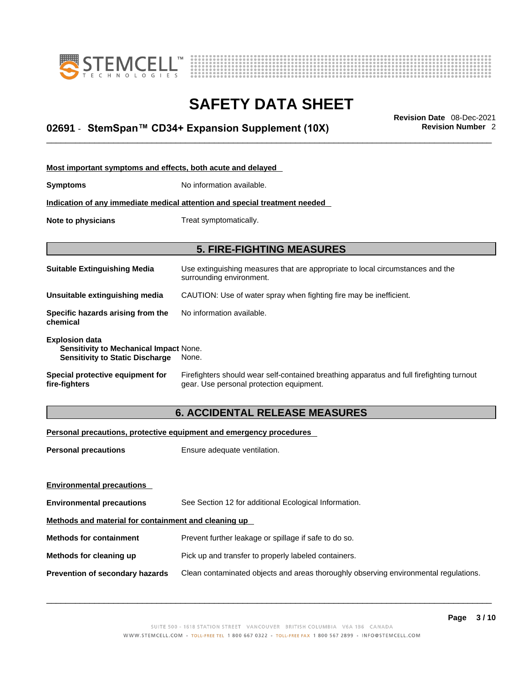



# \_\_\_\_\_\_\_\_\_\_\_\_\_\_\_\_\_\_\_\_\_\_\_\_\_\_\_\_\_\_\_\_\_\_\_\_\_\_\_\_\_\_\_\_\_\_\_\_\_\_\_\_\_\_\_\_\_\_\_\_\_\_\_\_\_\_\_\_\_\_\_\_\_\_\_\_\_\_\_\_\_\_\_\_\_\_\_\_\_\_\_\_\_ **Revision Date** 08-Dec-2021 **02691** - **StemSpan™ CD34+ Expansion Supplement (10X) Revision Number** 2

| Most important symptoms and effects, both acute and delayed                                               |                                                                                                                                       |
|-----------------------------------------------------------------------------------------------------------|---------------------------------------------------------------------------------------------------------------------------------------|
| Symptoms                                                                                                  | No information available.                                                                                                             |
|                                                                                                           | Indication of any immediate medical attention and special treatment needed                                                            |
| Note to physicians<br>Treat symptomatically.                                                              |                                                                                                                                       |
|                                                                                                           |                                                                                                                                       |
|                                                                                                           | <b>5. FIRE-FIGHTING MEASURES</b>                                                                                                      |
| Suitable Extinguishing Media                                                                              | Use extinguishing measures that are appropriate to local circumstances and the<br>surrounding environment.                            |
| Unsuitable extinguishing media                                                                            | CAUTION: Use of water spray when fighting fire may be inefficient.                                                                    |
| Specific hazards arising from the<br>chemical                                                             | No information available.                                                                                                             |
| <b>Explosion data</b><br>Sensitivity to Mechanical Impact None.<br><b>Sensitivity to Static Discharge</b> | None.                                                                                                                                 |
| Special protective equipment for<br>fire-fighters                                                         | Firefighters should wear self-contained breathing apparatus and full firefighting turnout<br>gear. Use personal protection equipment. |

# **6. ACCIDENTAL RELEASE MEASURES**

### **Personal precautions, protective equipment and emergency procedures**

| <b>Personal precautions</b>                          | Ensure adequate ventilation.                                                         |  |  |
|------------------------------------------------------|--------------------------------------------------------------------------------------|--|--|
|                                                      |                                                                                      |  |  |
| <b>Environmental precautions</b>                     |                                                                                      |  |  |
| <b>Environmental precautions</b>                     | See Section 12 for additional Ecological Information.                                |  |  |
| Methods and material for containment and cleaning up |                                                                                      |  |  |
| <b>Methods for containment</b>                       | Prevent further leakage or spillage if safe to do so.                                |  |  |
| Methods for cleaning up                              | Pick up and transfer to properly labeled containers.                                 |  |  |
| Prevention of secondary hazards                      | Clean contaminated objects and areas thoroughly observing environmental regulations. |  |  |
|                                                      |                                                                                      |  |  |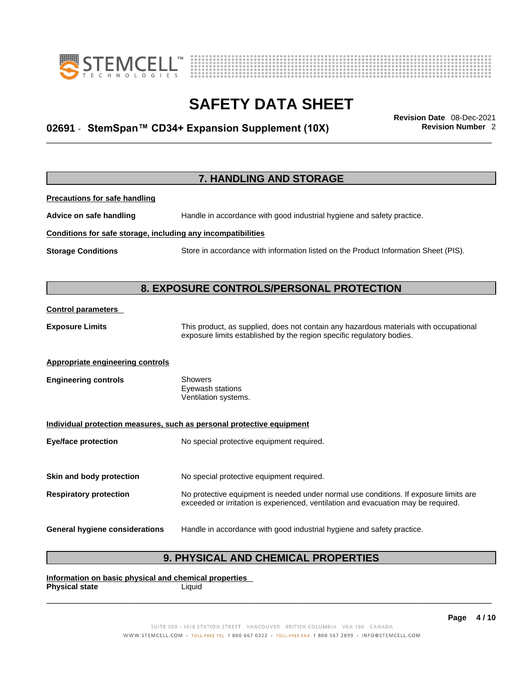



# \_\_\_\_\_\_\_\_\_\_\_\_\_\_\_\_\_\_\_\_\_\_\_\_\_\_\_\_\_\_\_\_\_\_\_\_\_\_\_\_\_\_\_\_\_\_\_\_\_\_\_\_\_\_\_\_\_\_\_\_\_\_\_\_\_\_\_\_\_\_\_\_\_\_\_\_\_\_\_\_\_\_\_\_\_\_\_\_\_\_\_\_\_ **Revision Date** 08-Dec-2021 **02691** - **StemSpan™ CD34+ Expansion Supplement (10X) Revision Number** 2

|                                                              | 7. HANDLING AND STORAGE                                                                                                                                                     |
|--------------------------------------------------------------|-----------------------------------------------------------------------------------------------------------------------------------------------------------------------------|
| <b>Precautions for safe handling</b>                         |                                                                                                                                                                             |
| Advice on safe handling                                      | Handle in accordance with good industrial hygiene and safety practice.                                                                                                      |
| Conditions for safe storage, including any incompatibilities |                                                                                                                                                                             |
| <b>Storage Conditions</b>                                    | Store in accordance with information listed on the Product Information Sheet (PIS).                                                                                         |
|                                                              |                                                                                                                                                                             |
|                                                              | 8. EXPOSURE CONTROLS/PERSONAL PROTECTION                                                                                                                                    |
| <b>Control parameters</b>                                    |                                                                                                                                                                             |
| <b>Exposure Limits</b>                                       | This product, as supplied, does not contain any hazardous materials with occupational<br>exposure limits established by the region specific regulatory bodies.              |
| <b>Appropriate engineering controls</b>                      |                                                                                                                                                                             |
| <b>Engineering controls</b>                                  | <b>Showers</b><br>Eyewash stations<br>Ventilation systems.                                                                                                                  |
|                                                              | Individual protection measures, such as personal protective equipment                                                                                                       |
| <b>Eye/face protection</b>                                   | No special protective equipment required.                                                                                                                                   |
| Skin and body protection                                     | No special protective equipment required.                                                                                                                                   |
| <b>Respiratory protection</b>                                | No protective equipment is needed under normal use conditions. If exposure limits are<br>exceeded or irritation is experienced, ventilation and evacuation may be required. |
| <b>General hygiene considerations</b>                        | Handle in accordance with good industrial hygiene and safety practice.                                                                                                      |

# **9. PHYSICAL AND CHEMICAL PROPERTIES**

**Information on basic physical and chemical properties Physical state**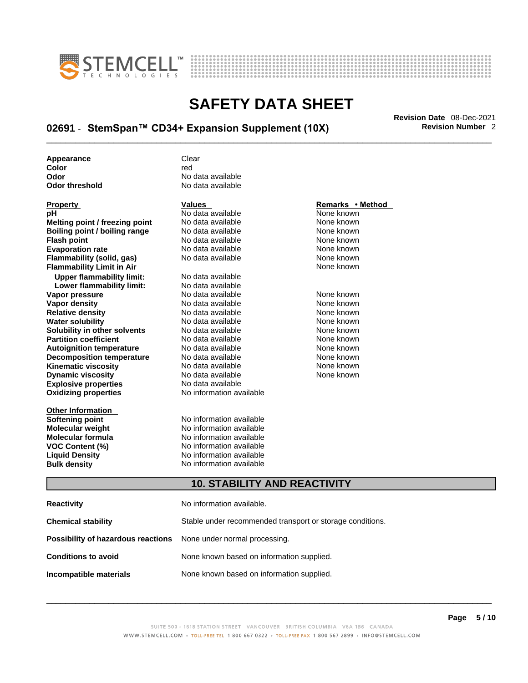



# \_\_\_\_\_\_\_\_\_\_\_\_\_\_\_\_\_\_\_\_\_\_\_\_\_\_\_\_\_\_\_\_\_\_\_\_\_\_\_\_\_\_\_\_\_\_\_\_\_\_\_\_\_\_\_\_\_\_\_\_\_\_\_\_\_\_\_\_\_\_\_\_\_\_\_\_\_\_\_\_\_\_\_\_\_\_\_\_\_\_\_\_\_ **Revision Date** 08-Dec-2021 **02691** - **StemSpan™ CD34+ Expansion Supplement (10X) Revision Number** 2

**Appearance** Clear<br> **Color** Color **Color** red **Odor No data available**<br> **Odor threshold No data available** 

| Property                         |
|----------------------------------|
| рH                               |
| Melting point / freezing point   |
| Boiling point / boiling range    |
| <b>Flash point</b>               |
| <b>Evaporation rate</b>          |
| Flammability (solid, gas)        |
| <b>Flammability Limit in Air</b> |
| <b>Upper flammability limit:</b> |
| Lower flammability limit:        |
| Vapor pressure                   |
| Vapor density                    |
| <b>Relative density</b>          |
| <b>Water solubility</b>          |
| Solubility in other solvents     |
| <b>Partition coefficient</b>     |
| <b>Autoignition temperature</b>  |
| <b>Decomposition temperature</b> |
| <b>Kinematic viscosity</b>       |
| <b>Dynamic viscosity</b>         |
| <b>Explosive properties</b>      |
| <b>Oxidizing properties</b>      |
|                                  |

**Other Information** 

**No data available** 

**Explosive properties** No data available **Oxidizing properties** No information available **No data available** None known **No data available None known Roidata available 1999 Mone known**<br> **Boiling** None known<br> **Roidata available None known No data available Evaporation No data available None known**<br> **Evaporation** None known<br>
None known **No data available No data available Lower flammability limit:** No data available **Vapora Available None known**<br> **Pressure No data available None known**<br>
None known **Vapor density Available** None known<br>
No data available None known **No data available No data available None known Solution Islam in Solution None known** None known **Partition Partition Coefficient Coefficient Coefficient Coefficient Coefficient Coefficient Coefficient Coefficient Coefficient Coefficient Coefficient Coefficient Coefficient Coefficient C Automische Munder None known**<br> **Automische None known**<br>
None known **No data available** No data available **None known** No data available None known

**Softening point**<br> **Molecular weight**<br> **Molecular weight**<br> **Molecular weight**<br> **Molecular weight No information available Molecular formula** No information available **VOC Content (%)**<br>
Liquid Density<br>
No information available<br>
No information available **No information available Bulk density No information available** 

### **Property CONSIDERENT VALUES PROPERTY Remarks • Method**

**Flammability Limit in Air** None known

### **10. STABILITY AND REACTIVITY**

| Reactivity                                                              | No information available.                                 |
|-------------------------------------------------------------------------|-----------------------------------------------------------|
| Chemical stability                                                      | Stable under recommended transport or storage conditions. |
| <b>Possibility of hazardous reactions</b> None under normal processing. |                                                           |
| <b>Conditions to avoid</b>                                              | None known based on information supplied.                 |
| Incompatible materials                                                  | None known based on information supplied.                 |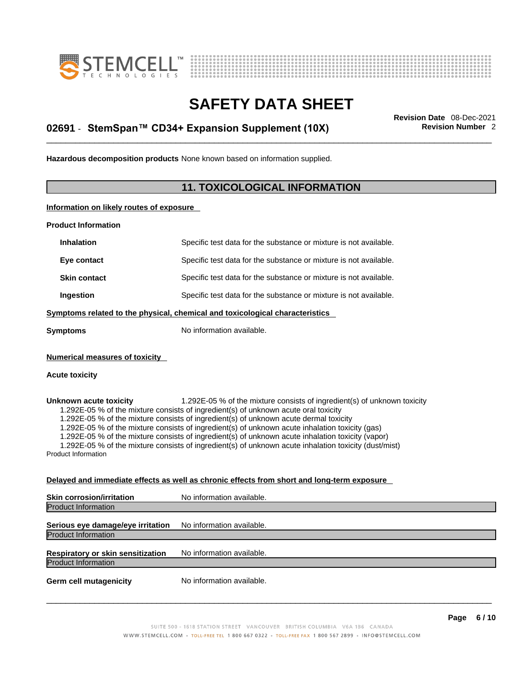



# \_\_\_\_\_\_\_\_\_\_\_\_\_\_\_\_\_\_\_\_\_\_\_\_\_\_\_\_\_\_\_\_\_\_\_\_\_\_\_\_\_\_\_\_\_\_\_\_\_\_\_\_\_\_\_\_\_\_\_\_\_\_\_\_\_\_\_\_\_\_\_\_\_\_\_\_\_\_\_\_\_\_\_\_\_\_\_\_\_\_\_\_\_ **Revision Date** 08-Dec-2021 **02691** - **StemSpan™ CD34+ Expansion Supplement (10X) Revision Number** 2

**Hazardous decomposition products** None known based on information supplied.

## **11. TOXICOLOGICAL INFORMATION**

**Information on likely routes of exposure**

**Product Information**

| <b>Inhalation</b>                                                            | Specific test data for the substance or mixture is not available. |  |
|------------------------------------------------------------------------------|-------------------------------------------------------------------|--|
| Eye contact                                                                  | Specific test data for the substance or mixture is not available. |  |
| <b>Skin contact</b>                                                          | Specific test data for the substance or mixture is not available. |  |
| Ingestion                                                                    | Specific test data for the substance or mixture is not available. |  |
| Symptoms related to the physical, chemical and toxicological characteristics |                                                                   |  |
| Symptoms                                                                     | No information available.                                         |  |
|                                                                              |                                                                   |  |

**Numerical measures of toxicity**

#### **Acute toxicity**

**Unknown acute toxicity** 1.292E-05 % of the mixture consists of ingredient(s) of unknown toxicity 1.292E-05 % of the mixture consists of ingredient(s) of unknown acute oral toxicity

1.292E-05 % of the mixture consists of ingredient(s) of unknown acute dermal toxicity

1.292E-05 % of the mixture consists of ingredient(s) of unknown acute inhalation toxicity (gas)

1.292E-05 % of the mixture consists of ingredient(s) of unknown acute inhalation toxicity (vapor)

1.292E-05 % of the mixture consists of ingredient(s) of unknown acute inhalation toxicity (dust/mist)

Product Information

### **Delayed and immediate effects as well as chronic effects from short and long-term exposure**

| <b>Skin corrosion/irritation</b>                                       | No information available. |
|------------------------------------------------------------------------|---------------------------|
| <b>Product Information</b>                                             |                           |
| Serious eye damage/eye irritation<br><b>Product Information</b>        | No information available. |
| <b>Respiratory or skin sensitization</b><br><b>Product Information</b> | No information available. |
| <b>Germ cell mutagenicity</b>                                          | No information available. |
|                                                                        |                           |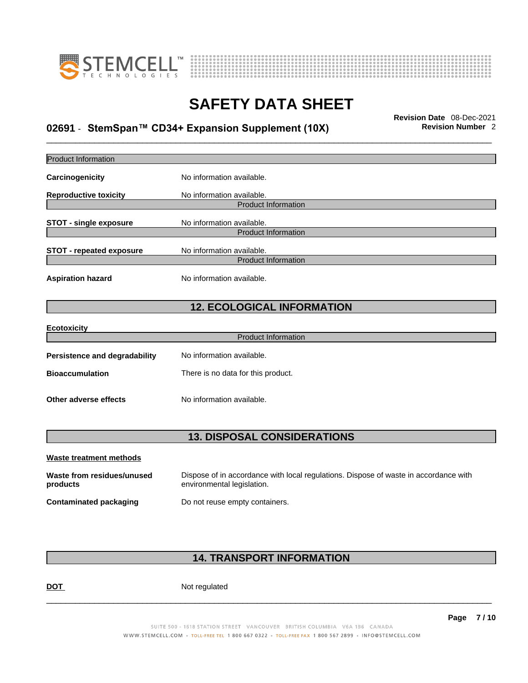



# \_\_\_\_\_\_\_\_\_\_\_\_\_\_\_\_\_\_\_\_\_\_\_\_\_\_\_\_\_\_\_\_\_\_\_\_\_\_\_\_\_\_\_\_\_\_\_\_\_\_\_\_\_\_\_\_\_\_\_\_\_\_\_\_\_\_\_\_\_\_\_\_\_\_\_\_\_\_\_\_\_\_\_\_\_\_\_\_\_\_\_\_\_ **Revision Date** 08-Dec-2021 **02691** - **StemSpan™ CD34+ Expansion Supplement (10X) Revision Number** 2

| <b>Product Information</b>             |                                                                                                                    |
|----------------------------------------|--------------------------------------------------------------------------------------------------------------------|
| Carcinogenicity                        | No information available.                                                                                          |
| <b>Reproductive toxicity</b>           | No information available.<br><b>Product Information</b>                                                            |
| <b>STOT - single exposure</b>          | No information available.<br><b>Product Information</b>                                                            |
| <b>STOT - repeated exposure</b>        | No information available.<br><b>Product Information</b>                                                            |
| <b>Aspiration hazard</b>               | No information available.                                                                                          |
|                                        | <b>12. ECOLOGICAL INFORMATION</b>                                                                                  |
| <b>Ecotoxicity</b>                     | <b>Product Information</b>                                                                                         |
|                                        |                                                                                                                    |
| <b>Persistence and degradability</b>   | No information available.                                                                                          |
| <b>Bioaccumulation</b>                 | There is no data for this product.                                                                                 |
| Other adverse effects                  | No information available.                                                                                          |
|                                        | <b>13. DISPOSAL CONSIDERATIONS</b>                                                                                 |
| <b>Waste treatment methods</b>         |                                                                                                                    |
| Waste from residues/unused<br>products | Dispose of in accordance with local regulations. Dispose of waste in accordance with<br>environmental legislation. |
| <b>Contaminated packaging</b>          | Do not reuse empty containers.                                                                                     |
|                                        |                                                                                                                    |

# **14. TRANSPORT INFORMATION**

DOT Not regulated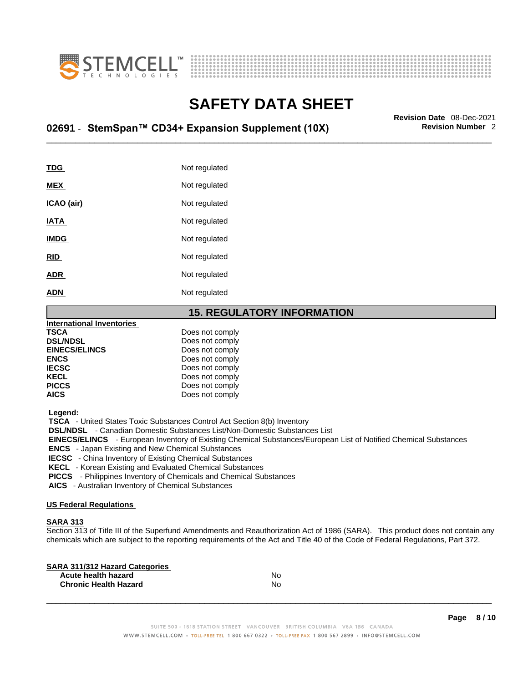



# \_\_\_\_\_\_\_\_\_\_\_\_\_\_\_\_\_\_\_\_\_\_\_\_\_\_\_\_\_\_\_\_\_\_\_\_\_\_\_\_\_\_\_\_\_\_\_\_\_\_\_\_\_\_\_\_\_\_\_\_\_\_\_\_\_\_\_\_\_\_\_\_\_\_\_\_\_\_\_\_\_\_\_\_\_\_\_\_\_\_\_\_\_ **Revision Date** 08-Dec-2021 **02691** - **StemSpan™ CD34+ Expansion Supplement (10X) Revision Number** 2

| TDG         | Not regulated |
|-------------|---------------|
| <b>MEX</b>  | Not regulated |
| ICAO (air)  | Not regulated |
| <b>IATA</b> | Not regulated |
| <b>IMDG</b> | Not regulated |
| <b>RID</b>  | Not regulated |
| <b>ADR</b>  | Not regulated |
| <b>ADN</b>  | Not regulated |
|             |               |

### **15. REGULATORY INFORMATION**

| International Inventories |                 |  |
|---------------------------|-----------------|--|
| <b>TSCA</b>               | Does not comply |  |
| <b>DSL/NDSL</b>           | Does not comply |  |
| <b>EINECS/ELINCS</b>      | Does not comply |  |
| <b>ENCS</b>               | Does not comply |  |
| <b>IECSC</b>              | Does not comply |  |
| <b>KECL</b>               | Does not comply |  |
| <b>PICCS</b>              | Does not comply |  |
| <b>AICS</b>               | Does not comply |  |
|                           |                 |  |

 **Legend:** 

 **TSCA** - United States Toxic Substances Control Act Section 8(b) Inventory

 **DSL/NDSL** - Canadian Domestic Substances List/Non-Domestic Substances List

 **EINECS/ELINCS** - European Inventory of Existing Chemical Substances/European List of Notified Chemical Substances

 **ENCS** - Japan Existing and New Chemical Substances

 **IECSC** - China Inventory of Existing Chemical Substances

 **KECL** - Korean Existing and Evaluated Chemical Substances

 **PICCS** - Philippines Inventory of Chemicals and Chemical Substances

 **AICS** - Australian Inventory of Chemical Substances

### **US Federal Regulations**

### **SARA 313**

Section 313 of Title III of the Superfund Amendments and Reauthorization Act of 1986 (SARA). This product does not contain any chemicals which are subject to the reporting requirements of the Act and Title 40 of the Code of Federal Regulations, Part 372.

| No |  |
|----|--|
| N٥ |  |
|    |  |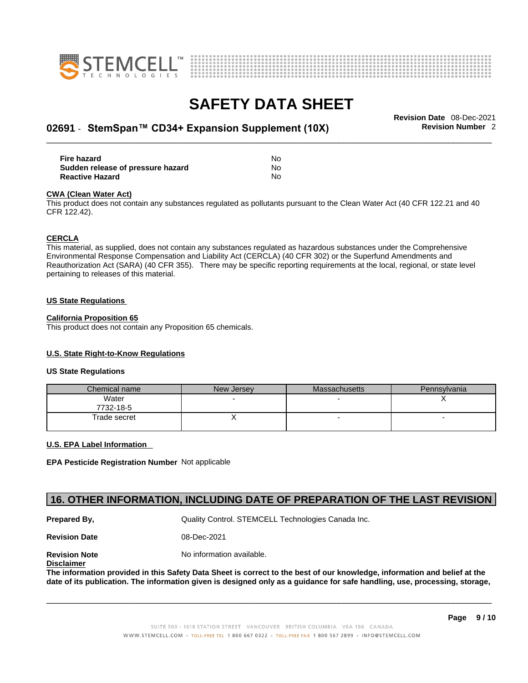



# \_\_\_\_\_\_\_\_\_\_\_\_\_\_\_\_\_\_\_\_\_\_\_\_\_\_\_\_\_\_\_\_\_\_\_\_\_\_\_\_\_\_\_\_\_\_\_\_\_\_\_\_\_\_\_\_\_\_\_\_\_\_\_\_\_\_\_\_\_\_\_\_\_\_\_\_\_\_\_\_\_\_\_\_\_\_\_\_\_\_\_\_\_ **Revision Date** 08-Dec-2021 **02691** - **StemSpan™ CD34+ Expansion Supplement (10X) Revision Number** 2

| Fire hazard                       | No  |
|-----------------------------------|-----|
| Sudden release of pressure hazard | No  |
| <b>Reactive Hazard</b>            | No. |

#### **CWA** (Clean Water Act)

This product does not contain any substances regulated as pollutants pursuant to the Clean Water Act (40 CFR 122.21 and 40 CFR 122.42).

#### **CERCLA**

This material, as supplied, does not contain any substances regulated as hazardous substances under the Comprehensive Environmental Response Compensation and Liability Act (CERCLA) (40 CFR 302) or the Superfund Amendments and Reauthorization Act (SARA) (40 CFR 355). There may be specific reporting requirements at the local, regional, or state level pertaining to releases of this material.

#### **US State Regulations**

#### **California Proposition 65**

This product does not contain any Proposition 65 chemicals.

### **U.S. State Right-to-Know Regulations**

#### **US State Regulations**

| Chemical name      | New Jersey | Massachusetts | Pennsylvania |
|--------------------|------------|---------------|--------------|
| Water<br>7732-18-5 |            |               |              |
| Trade secret       | ,          |               |              |

### **U.S. EPA Label Information**

**EPA Pesticide Registration Number** Not applicable

### **16. OTHER INFORMATION, INCLUDING DATE OF PREPARATION OF THE LAST REVISION**

**Prepared By, State Control. STEMCELL Technologies Canada Inc.** Cuality Control. STEMCELL Technologies Canada Inc.

**Revision Date** 08-Dec-2021

**Disclaimer**

**Revision Note** Noinformation available.

The information provided in this Safety Data Sheet is correct to the best of our knowledge, information and belief at the date of its publication. The information given is designed only as a guidance for safe handling, use, processing, storage,